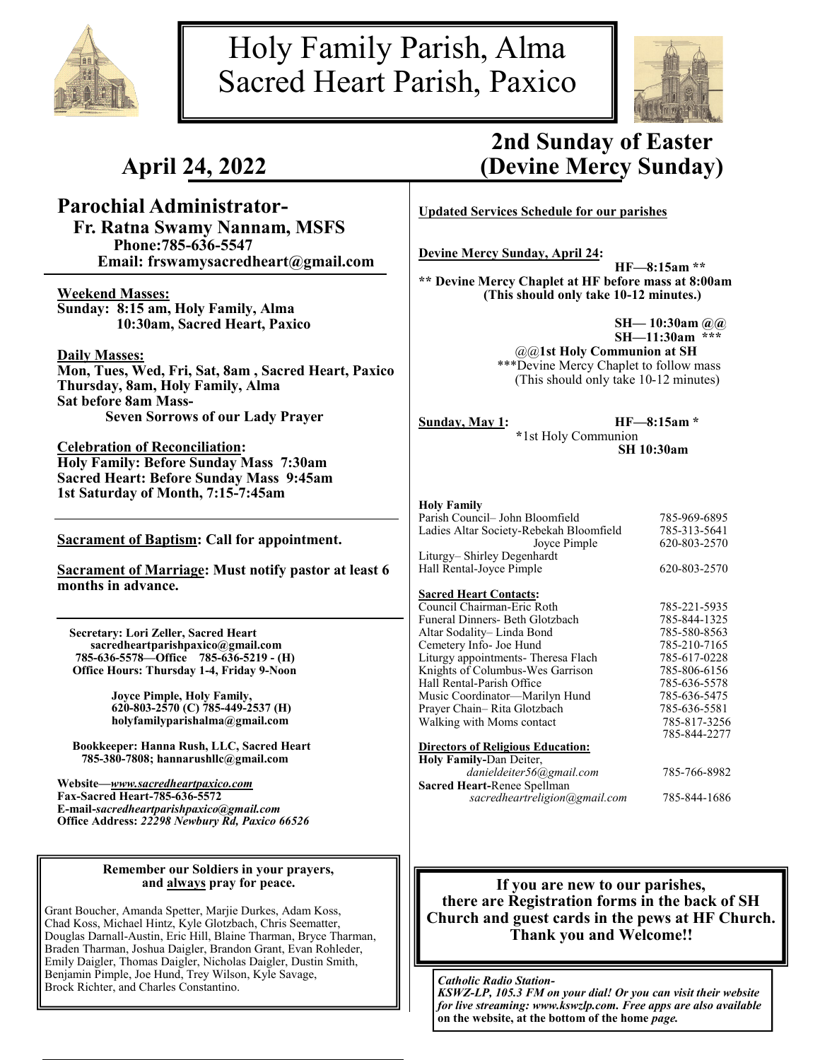

# Holy Family Parish, Alma Sacred Heart Parish, Paxico



# **April 24, 2022**

## **Parochial Administrator-**

 **Fr. Ratna Swamy Nannam, MSFS Phone:785-636-5547 Email: frswamysacredheart@gmail.com**

**Weekend Masses: Sunday: 8:15 am, Holy Family, Alma 10:30am, Sacred Heart, Paxico**

**Daily Masses:**

**Mon, Tues, Wed, Fri, Sat, 8am , Sacred Heart, Paxico Thursday, 8am, Holy Family, Alma Sat before 8am Mass-Seven Sorrows of our Lady Prayer**

**Celebration of Reconciliation: Holy Family: Before Sunday Mass 7:30am Sacred Heart: Before Sunday Mass 9:45am 1st Saturday of Month, 7:15-7:45am** 

**Sacrament of Baptism: Call for appointment.**

**Sacrament of Marriage: Must notify pastor at least 6 months in advance.**

 **Secretary: Lori Zeller, Sacred Heart sacredheartparishpaxico@gmail.com 785-636-5578—Office 785-636-5219 - (H) Office Hours: Thursday 1-4, Friday 9-Noon**

> **Joyce Pimple, Holy Family, 620-803-2570 (C) 785-449-2537 (H) holyfamilyparishalma@gmail.com**

 **Bookkeeper: Hanna Rush, LLC, Sacred Heart 785-380-7808; hannarushllc@gmail.com**

**Website—***www.sacredheartpaxico.com* **Fax-Sacred Heart-785-636-5572 E-mail-***sacredheartparishpaxico@gmail.com* **Office Address:** *22298 Newbury Rd, Paxico 66526*

### **Remember our Soldiers in your prayers, and always pray for peace.**

Grant Boucher, Amanda Spetter, Marjie Durkes, Adam Koss, Chad Koss, Michael Hintz, Kyle Glotzbach, Chris Seematter, Douglas Darnall-Austin, Eric Hill, Blaine Tharman, Bryce Tharman, Braden Tharman, Joshua Daigler, Brandon Grant, Evan Rohleder, Emily Daigler, Thomas Daigler, Nicholas Daigler, Dustin Smith, Benjamin Pimple, Joe Hund, Trey Wilson, Kyle Savage, Brock Richter, and Charles Constantino.<br>Brock Richter, and Charles Constantino.

# **2nd Sunday of Easter (Devine Mercy Sunday)**

**Updated Services Schedule for our parishes**

**Devine Mercy Sunday, April 24:** 

**HF—8:15am \*\* \*\* Devine Mercy Chaplet at HF before mass at 8:00am (This should only take 10-12 minutes.)**

> **SH— 10:30am @@ SH—11:30am \*\*\*** @@**1st Holy Communion at SH** \*\*\*Devine Mercy Chaplet to follow mass (This should only take 10-12 minutes)

**Sunday, May 1: HF—8:15am \* \***1st Holy Communion **SH 10:30am**

### **Holy Family**

| Parish Council– John Bloomfield          | 785-969-6895 |
|------------------------------------------|--------------|
| Ladies Altar Society-Rebekah Bloomfield  | 785-313-5641 |
| Joyce Pimple                             | 620-803-2570 |
| Liturgy- Shirley Degenhardt              |              |
| Hall Rental-Joyce Pimple                 | 620-803-2570 |
| <b>Sacred Heart Contacts:</b>            |              |
| Council Chairman-Eric Roth               | 785-221-5935 |
| Funeral Dinners- Beth Glotzbach          | 785-844-1325 |
| Altar Sodality– Linda Bond               | 785-580-8563 |
| Cemetery Info- Joe Hund                  | 785-210-7165 |
| Liturgy appointments- Theresa Flach      | 785-617-0228 |
| Knights of Columbus-Wes Garrison         | 785-806-6156 |
| Hall Rental-Parish Office                | 785-636-5578 |
| Music Coordinator—Marilyn Hund           | 785-636-5475 |
| Prayer Chain-Rita Glotzbach              | 785-636-5581 |
| Walking with Moms contact                | 785-817-3256 |
|                                          | 785-844-2277 |
| <b>Directors of Religious Education:</b> |              |
| Holy Family-Dan Deiter,                  |              |
| danieldeiter56@gmail.com                 | 785-766-8982 |
| Connell Lorut Donos Custlesses           |              |

**Sacred Heart-**Renee Spellman *sacredheartreligion@gmail.com* 785-844-1686

## **If you are new to our parishes, there are Registration forms in the back of SH Church and guest cards in the pews at HF Church. Thank you and Welcome!!**

*KSWZ-LP, 105.3 FM on your dial! Or you can visit their website for live streaming: www.kswzlp.com. Free apps are also available*  **on the website, at the bottom of the home** *page.*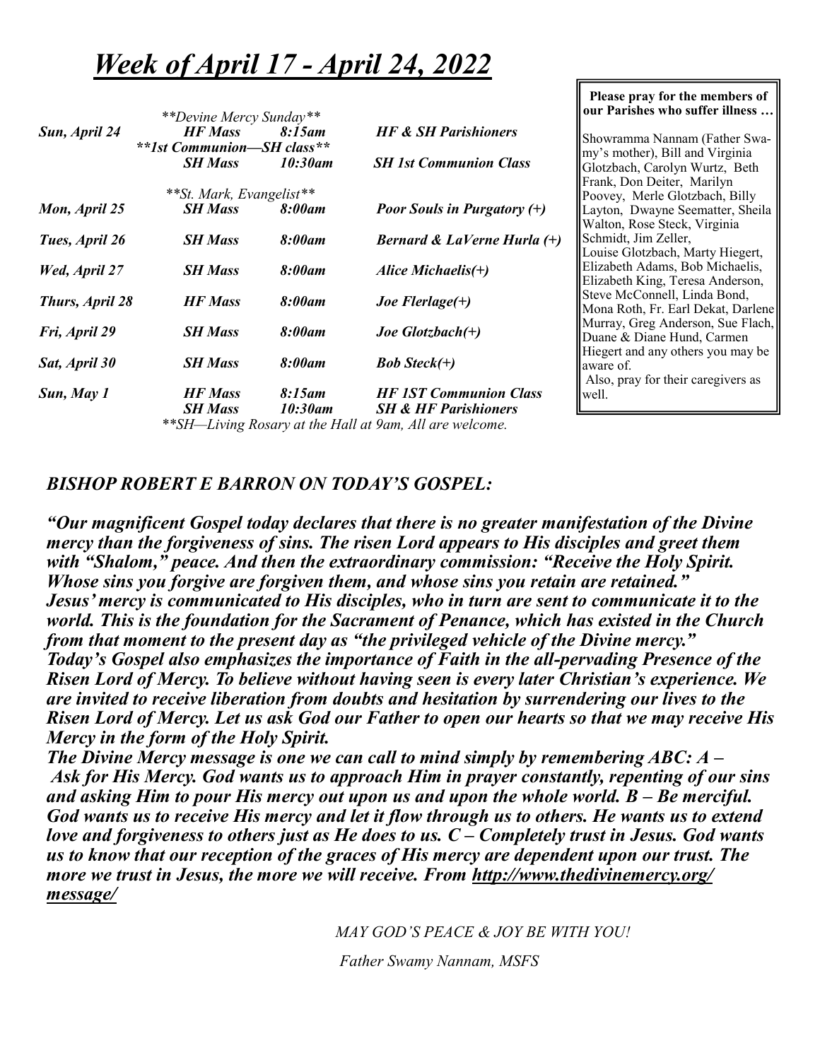# *Week of April 17 - April 24, 2022*

|                      | **Devine Mercy Sunday**                      |                      |                                                                  | our Paris                |
|----------------------|----------------------------------------------|----------------------|------------------------------------------------------------------|--------------------------|
| Sun, April 24        | <b>HF</b> Mass<br>**1st Communion-SH class** | 8:15am               | <b>HF &amp; SH Parishioners</b>                                  | Showramr                 |
|                      | <b>SH Mass</b>                               | 10:30am              | <b>SH 1st Communion Class</b>                                    | my's moth<br>Glotzbach   |
|                      | **St. Mark, Evangelist**                     |                      |                                                                  | Frank, Do<br>Poovey, N   |
| Mon, April 25        | <b>SH Mass</b>                               | 8:00am               | <b>Poor Souls in Purgatory (+)</b>                               | Layton, D<br>Walton, R   |
| Tues, April 26       | <b>SH Mass</b>                               | 8:00am               | Bernard & LaVerne Hurla $(+)$                                    | Schmidt, J<br>Louise Glo |
| <b>Wed, April 27</b> | <b>SH Mass</b>                               | 8:00am               | Alice Michaelis $(+)$                                            | Elizabeth.<br>Elizabeth  |
| Thurs, April 28      | <b>HF Mass</b>                               | 8:00am               | Joe Flerlage $(+)$                                               | Steve McC<br>Mona Rot    |
| Fri, April 29        | <b>SH Mass</b>                               | 8:00am               | Joe Glotzbach $(+)$                                              | Murray, G<br>Duane & I   |
| Sat, April 30        | <b>SH Mass</b>                               | 8:00am               | <b>Bob Steck(+)</b>                                              | Hiegert an<br>aware of.  |
| Sun, May 1           | <b>HF</b> Mass<br><b>SH Mass</b>             | $8:15$ am<br>10:30am | <b>HF 1ST Communion Class</b><br><b>SH &amp; HF Parishioners</b> | Also, pray<br>well.      |
|                      |                                              |                      | **SH-Living Rosary at the Hall at 9am, All are welcome.          |                          |

#### **Please pray for the members of**   $\mathbf{b}$  are who suffer illness ...

na Nannam (Father Swaner), Bill and Virginia , Carolyn Wurtz, Beth n Deiter, Marilyn Merle Glotzbach, Billy **Dwayne Seematter**, Sheila ose Steck, Virginia Jim Zeller, otzbach, Marty Hiegert, Adams, Bob Michaelis, King, Teresa Anderson, Connell, Linda Bond, h, Fr. Earl Dekat, Darlene Greg Anderson, Sue Flach, Diane Hund, Carmen d any others you may be y for their caregivers as

# *BISHOP ROBERT E BARRON ON TODAY'S GOSPEL:*

*"Our magnificent Gospel today declares that there is no greater manifestation of the Divine mercy than the forgiveness of sins. The risen Lord appears to His disciples and greet them with "Shalom," peace. And then the extraordinary commission: "Receive the Holy Spirit. Whose sins you forgive are forgiven them, and whose sins you retain are retained." Jesus' mercy is communicated to His disciples, who in turn are sent to communicate it to the world. This is the foundation for the Sacrament of Penance, which has existed in the Church from that moment to the present day as "the privileged vehicle of the Divine mercy." Today's Gospel also emphasizes the importance of Faith in the all-pervading Presence of the Risen Lord of Mercy. To believe without having seen is every later Christian's experience. We are invited to receive liberation from doubts and hesitation by surrendering our lives to the Risen Lord of Mercy. Let us ask God our Father to open our hearts so that we may receive His Mercy in the form of the Holy Spirit.* 

*The Divine Mercy message is one we can call to mind simply by remembering ABC: A – Ask for His Mercy. God wants us to approach Him in prayer constantly, repenting of our sins and asking Him to pour His mercy out upon us and upon the whole world. B – Be merciful. God wants us to receive His mercy and let it flow through us to others. He wants us to extend love and forgiveness to others just as He does to us. C – Completely trust in Jesus. God wants us to know that our reception of the graces of His mercy are dependent upon our trust. The more we trust in Jesus, the more we will receive. From http://www.thedivinemercy.org/ message/* 

*MAY GOD'S PEACE & JOY BE WITH YOU!*

*Father Swamy Nannam, MSFS*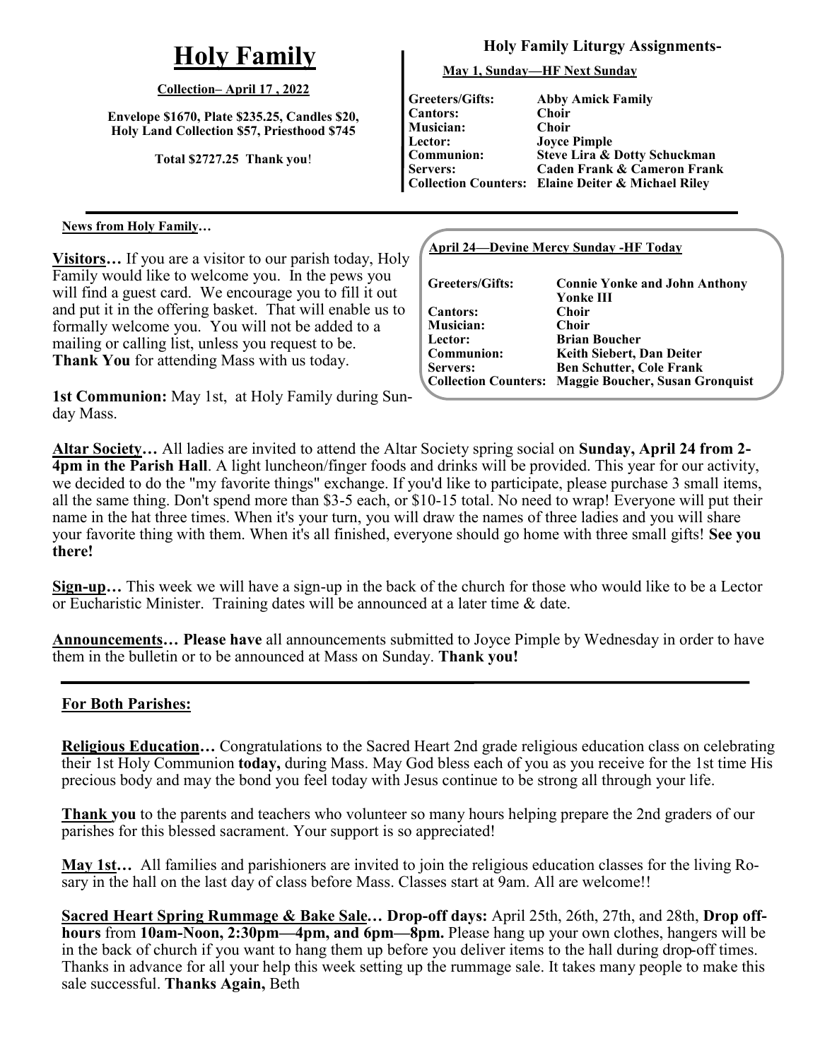# **Holy Family**

## **Collection– April 17 , 2022**

**Envelope \$1670, Plate \$235.25, Candles \$20, Holy Land Collection \$57, Priesthood \$745**

**Total \$2727.25 Thank you**!

## **News from Holy Family…**

**Visitors…** If you are a visitor to our parish today, Holy Family would like to welcome you. In the pews you will find a guest card. We encourage you to fill it out and put it in the offering basket. That will enable us to formally welcome you. You will not be added to a mailing or calling list, unless you request to be. **Thank You** for attending Mass with us today.

**1st Communion:** May 1st, at Holy Family during Sunday Mass.

## **Holy Family Liturgy Assignments-**

**May 1, Sunday—HF Next Sunday**

**Greeters/Gifts: Cantors: Musician: Lector: Communion: Servers:**

**Collection Counters: Elaine Deiter & Michael Riley Abby Amick Family Choir Choir Joyce Pimple Steve Lira & Dotty Schuckman Caden Frank & Cameron Frank**

## **April 24—Devine Mercy Sunday -HF Today**

| Greeters/Gifts:  | <b>Connie Yonke and John Anthony</b>                 |
|------------------|------------------------------------------------------|
|                  | Yonke III                                            |
| <b>Cantors:</b>  | Choir                                                |
| <b>Musician:</b> | Choir                                                |
| Lector:          | <b>Brian Boucher</b>                                 |
| Communion:       | Keith Siebert, Dan Deiter                            |
| Servers:         | <b>Ben Schutter, Cole Frank</b>                      |
|                  | Collection Counters: Maggie Boucher, Susan Gronquist |
|                  |                                                      |

**Altar Society…** All ladies are invited to attend the Altar Society spring social on **Sunday, April 24 from 2- 4pm in the Parish Hall**. A light luncheon/finger foods and drinks will be provided. This year for our activity, we decided to do the "my favorite things" exchange. If you'd like to participate, please purchase 3 small items, all the same thing. Don't spend more than \$3-5 each, or \$10-15 total. No need to wrap! Everyone will put their name in the hat three times. When it's your turn, you will draw the names of three ladies and you will share your favorite thing with them. When it's all finished, everyone should go home with three small gifts! **See you there!** 

**Sign-up…** This week we will have a sign-up in the back of the church for those who would like to be a Lector or Eucharistic Minister. Training dates will be announced at a later time & date.

**Announcements… Please have** all announcements submitted to Joyce Pimple by Wednesday in order to have them in the bulletin or to be announced at Mass on Sunday. **Thank you!**

## **For Both Parishes:**

**Religious Education…** Congratulations to the Sacred Heart 2nd grade religious education class on celebrating their 1st Holy Communion **today,** during Mass. May God bless each of you as you receive for the 1st time His precious body and may the bond you feel today with Jesus continue to be strong all through your life.

**Thank you** to the parents and teachers who volunteer so many hours helping prepare the 2nd graders of our parishes for this blessed sacrament. Your support is so appreciated!

**May 1st…** All families and parishioners are invited to join the religious education classes for the living Rosary in the hall on the last day of class before Mass. Classes start at 9am. All are welcome!!

**Sacred Heart Spring Rummage & Bake Sale… Drop-off days:** April 25th, 26th, 27th, and 28th, **Drop offhours** from **10am-Noon, 2:30pm—4pm, and 6pm—8pm.** Please hang up your own clothes, hangers will be in the back of church if you want to hang them up before you deliver items to the hall during drop-off times. Thanks in advance for all your help this week setting up the rummage sale. It takes many people to make this sale successful. **Thanks Again,** Beth